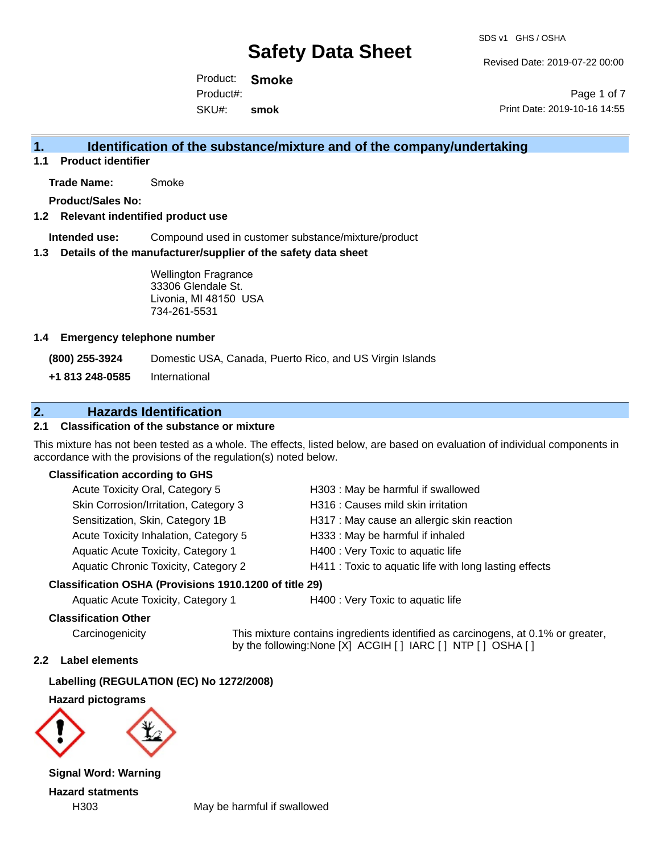Revised Date: 2019-07-22 00:00

Product: **Smoke** SKU#: Product#: **smok**

Page 1 of 7 Print Date: 2019-10-16 14:55

## **1. Identification of the substance/mixture and of the company/undertaking**

**1.1 Product identifier**

**Trade Name:** Smoke

**Product/Sales No:**

### **1.2 Relevant indentified product use**

**Intended use:** Compound used in customer substance/mixture/product

### **1.3 Details of the manufacturer/supplier of the safety data sheet**

Wellington Fragrance 33306 Glendale St. Livonia, MI 48150 USA 734-261-5531

### **1.4 Emergency telephone number**

**(800) 255-3924** Domestic USA, Canada, Puerto Rico, and US Virgin Islands

**+1 813 248-0585** International

## **2. Hazards Identification**

### **2.1 Classification of the substance or mixture**

This mixture has not been tested as a whole. The effects, listed below, are based on evaluation of individual components in accordance with the provisions of the regulation(s) noted below.

### **Classification according to GHS**

| Acute Toxicity Oral, Category 5             | H303: May be harmful if swallowed                      |
|---------------------------------------------|--------------------------------------------------------|
| Skin Corrosion/Irritation, Category 3       | H316 : Causes mild skin irritation                     |
| Sensitization, Skin, Category 1B            | H317 : May cause an allergic skin reaction             |
| Acute Toxicity Inhalation, Category 5       | H333: May be harmful if inhaled                        |
| Aquatic Acute Toxicity, Category 1          | H400 : Very Toxic to aquatic life                      |
| <b>Aquatic Chronic Toxicity, Category 2</b> | H411 : Toxic to aquatic life with long lasting effects |

### **Classification OSHA (Provisions 1910.1200 of title 29)**

Aquatic Acute Toxicity, Category 1 H400 : Very Toxic to aquatic life

### **Classification Other**

Carcinogenicity This mixture contains ingredients identified as carcinogens, at 0.1% or greater, by the following:None [X] ACGIH [ ] IARC [ ] NTP [ ] OSHA [ ]

### **2.2 Label elements**

**Labelling (REGULATION (EC) No 1272/2008)**

**Hazard pictograms**



**Signal Word: Warning Hazard statments**

H303 May be harmful if swallowed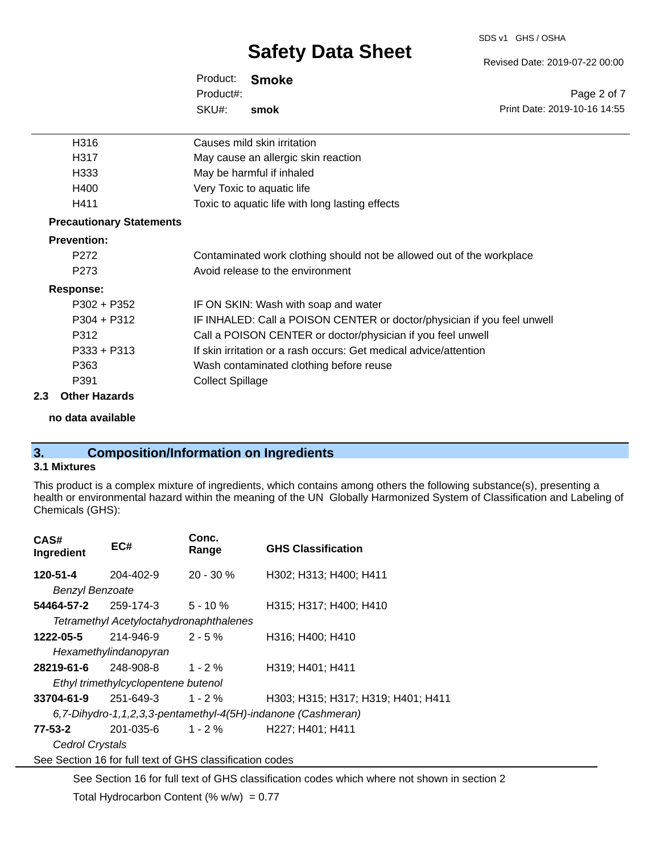#### SDS v1 GHS / OSHA

# **Safety Data Sheet**

Product: **Smoke** SKU#: Product#: **smok**

| H316                            | Causes mild skin irritation                                             |
|---------------------------------|-------------------------------------------------------------------------|
| H317                            | May cause an allergic skin reaction                                     |
| H333                            | May be harmful if inhaled                                               |
| H400                            | Very Toxic to aquatic life                                              |
| H411                            | Toxic to aquatic life with long lasting effects                         |
| <b>Precautionary Statements</b> |                                                                         |
| <b>Prevention:</b>              |                                                                         |
| P <sub>272</sub>                | Contaminated work clothing should not be allowed out of the workplace   |
| P <sub>273</sub>                | Avoid release to the environment                                        |
| <b>Response:</b>                |                                                                         |
| $P302 + P352$                   | IF ON SKIN: Wash with soap and water                                    |
| $P304 + P312$                   | IF INHALED: Call a POISON CENTER or doctor/physician if you feel unwell |
| P312                            | Call a POISON CENTER or doctor/physician if you feel unwell             |
| $P333 + P313$                   | If skin irritation or a rash occurs: Get medical advice/attention       |
| P363                            | Wash contaminated clothing before reuse                                 |
| P391                            | <b>Collect Spillage</b>                                                 |

### **2.3 Other Hazards**

**no data available**

## **3. Composition/Information on Ingredients**

### **3.1 Mixtures**

This product is a complex mixture of ingredients, which contains among others the following substance(s), presenting a health or environmental hazard within the meaning of the UN Globally Harmonized System of Classification and Labeling of Chemicals (GHS):

| CAS#<br>Ingredient                                           | EC#                                     | Conc.<br>Range | <b>GHS Classification</b>          |  |
|--------------------------------------------------------------|-----------------------------------------|----------------|------------------------------------|--|
| 120-51-4                                                     | 204-402-9                               | $20 - 30 \%$   | H302; H313; H400; H411             |  |
| <b>Benzyl Benzoate</b>                                       |                                         |                |                                    |  |
| 54464-57-2                                                   | $259-174-3$ 5 - 10 %                    |                | H315; H317; H400; H410             |  |
|                                                              | Tetramethyl Acetyloctahydronaphthalenes |                |                                    |  |
| 1222-05-5                                                    | 214-946-9                               | $2 - 5%$       | H316; H400; H410                   |  |
| Hexamethylindanopyran                                        |                                         |                |                                    |  |
| <b>28219-61-6</b> 248-908-8                                  |                                         | $1 - 2\%$      | H319; H401; H411                   |  |
|                                                              | Ethyl trimethylcyclopentene butenol     |                |                                    |  |
| 33704-61-9                                                   | $251 - 649 - 3$ 1 - 2 %                 |                | H303; H315; H317; H319; H401; H411 |  |
| 6,7-Dihydro-1,1,2,3,3-pentamethyl-4(5H)-indanone (Cashmeran) |                                         |                |                                    |  |
| 77-53-2                                                      | 201-035-6 1 - 2 %                       |                | H227; H401; H411                   |  |
| Cedrol Crystals                                              |                                         |                |                                    |  |
| See Section 16 for full text of GHS classification codes     |                                         |                |                                    |  |
|                                                              |                                         |                |                                    |  |

See Section 16 for full text of GHS classification codes which where not shown in section 2

Total Hydrocarbon Content (%  $w/w$ ) = 0.77

Revised Date: 2019-07-22 00:00

Print Date: 2019-10-16 14:55

Page 2 of 7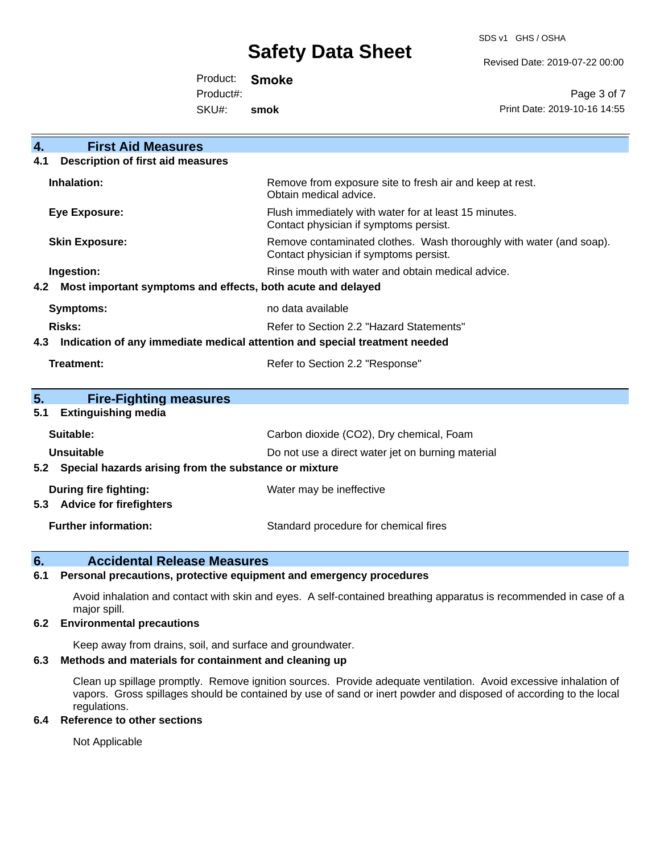SDS v1 GHS / OSHA

Revised Date: 2019-07-22 00:00

Product: **Smoke** SKU#: Product#: **smok**

Page 3 of 7 Print Date: 2019-10-16 14:55

| 4.<br><b>First Aid Measures</b>                                                   |                                                                                                               |  |  |
|-----------------------------------------------------------------------------------|---------------------------------------------------------------------------------------------------------------|--|--|
| <b>Description of first aid measures</b><br>4.1                                   |                                                                                                               |  |  |
| Inhalation:                                                                       | Remove from exposure site to fresh air and keep at rest.<br>Obtain medical advice.                            |  |  |
| <b>Eye Exposure:</b>                                                              | Flush immediately with water for at least 15 minutes.<br>Contact physician if symptoms persist.               |  |  |
| <b>Skin Exposure:</b>                                                             | Remove contaminated clothes. Wash thoroughly with water (and soap).<br>Contact physician if symptoms persist. |  |  |
| Ingestion:                                                                        | Rinse mouth with water and obtain medical advice.                                                             |  |  |
| Most important symptoms and effects, both acute and delayed<br>4.2                |                                                                                                               |  |  |
| <b>Symptoms:</b>                                                                  | no data available                                                                                             |  |  |
| Risks:                                                                            | Refer to Section 2.2 "Hazard Statements"                                                                      |  |  |
| Indication of any immediate medical attention and special treatment needed<br>4.3 |                                                                                                               |  |  |
| <b>Treatment:</b>                                                                 | Refer to Section 2.2 "Response"                                                                               |  |  |
|                                                                                   |                                                                                                               |  |  |
| 5.<br><b>Fire-Fighting measures</b>                                               |                                                                                                               |  |  |
| <b>Extinguishing media</b><br>5.1                                                 |                                                                                                               |  |  |
| Suitable:                                                                         | Carbon dioxide (CO2), Dry chemical, Foam                                                                      |  |  |
| <b>Unsuitable</b>                                                                 | Do not use a direct water jet on burning material                                                             |  |  |
|                                                                                   | 5.2 Special hazards arising from the substance or mixture                                                     |  |  |
| During fire fighting:                                                             | Water may be ineffective                                                                                      |  |  |
| <b>Advice for firefighters</b><br>5.3                                             |                                                                                                               |  |  |
| <b>Further information:</b>                                                       | Standard procedure for chemical fires                                                                         |  |  |

### **6. Accidental Release Measures**

### **6.1 Personal precautions, protective equipment and emergency procedures**

Avoid inhalation and contact with skin and eyes. A self-contained breathing apparatus is recommended in case of a major spill.

### **6.2 Environmental precautions**

Keep away from drains, soil, and surface and groundwater.

### **6.3 Methods and materials for containment and cleaning up**

Clean up spillage promptly. Remove ignition sources. Provide adequate ventilation. Avoid excessive inhalation of vapors. Gross spillages should be contained by use of sand or inert powder and disposed of according to the local regulations.

### **6.4 Reference to other sections**

Not Applicable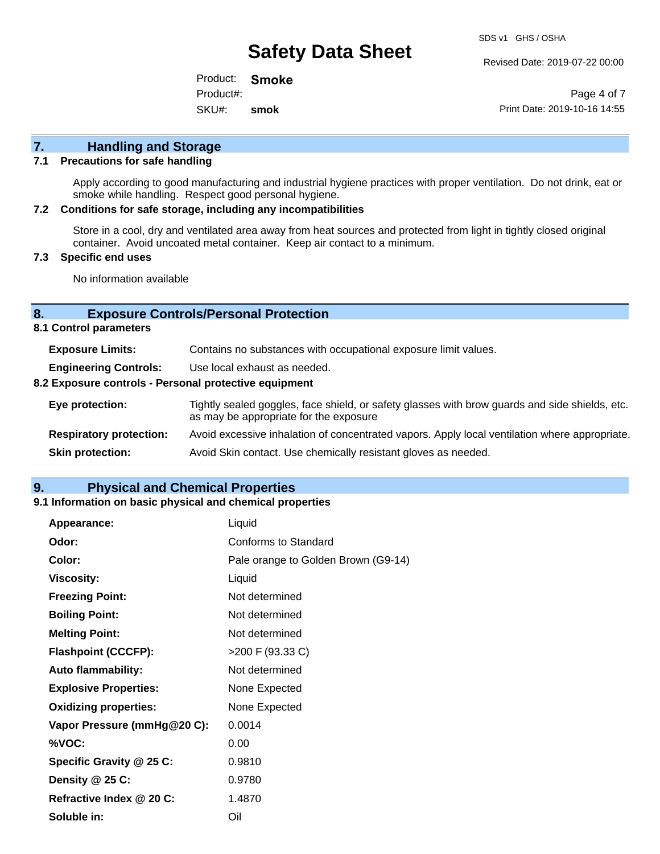Revised Date: 2019-07-22 00:00

Product: **Smoke** SKU#: Product#: **smok**

Page 4 of 7 Print Date: 2019-10-16 14:55

# **7. Handling and Storage**

### **7.1 Precautions for safe handling**

Apply according to good manufacturing and industrial hygiene practices with proper ventilation. Do not drink, eat or smoke while handling. Respect good personal hygiene.

### **7.2 Conditions for safe storage, including any incompatibilities**

Store in a cool, dry and ventilated area away from heat sources and protected from light in tightly closed original container. Avoid uncoated metal container. Keep air contact to a minimum.

### **7.3 Specific end uses**

No information available

### **8. Exposure Controls/Personal Protection**

**8.1 Control parameters**

| <b>Exposure Limits:</b>                               | Contains no substances with occupational exposure limit values.                                                                          |  |  |
|-------------------------------------------------------|------------------------------------------------------------------------------------------------------------------------------------------|--|--|
| <b>Engineering Controls:</b>                          | Use local exhaust as needed.                                                                                                             |  |  |
| 8.2 Exposure controls - Personal protective equipment |                                                                                                                                          |  |  |
| Eye protection:                                       | Tightly sealed goggles, face shield, or safety glasses with brow guards and side shields, etc.<br>as may be appropriate for the exposure |  |  |
| <b>Respiratory protection:</b>                        | Avoid excessive inhalation of concentrated vapors. Apply local ventilation where appropriate.                                            |  |  |
| <b>Skin protection:</b>                               | Avoid Skin contact. Use chemically resistant gloves as needed.                                                                           |  |  |

### **9. Physical and Chemical Properties**

### **9.1 Information on basic physical and chemical properties**

| Appearance:                  | Liquid                              |
|------------------------------|-------------------------------------|
| Odor:                        | Conforms to Standard                |
| Color:                       | Pale orange to Golden Brown (G9-14) |
| <b>Viscosity:</b>            | Liquid                              |
| <b>Freezing Point:</b>       | Not determined                      |
| <b>Boiling Point:</b>        | Not determined                      |
| <b>Melting Point:</b>        | Not determined                      |
| <b>Flashpoint (CCCFP):</b>   | >200 F (93.33 C)                    |
| <b>Auto flammability:</b>    | Not determined                      |
| <b>Explosive Properties:</b> | None Expected                       |
| <b>Oxidizing properties:</b> | None Expected                       |
| Vapor Pressure (mmHg@20 C):  | 0.0014                              |
| %VOC:                        | 0.00                                |
| Specific Gravity @ 25 C:     | 0.9810                              |
| Density $@25C$ :             | 0.9780                              |
| Refractive Index @ 20 C:     | 1.4870                              |
| Soluble in:                  | Oil                                 |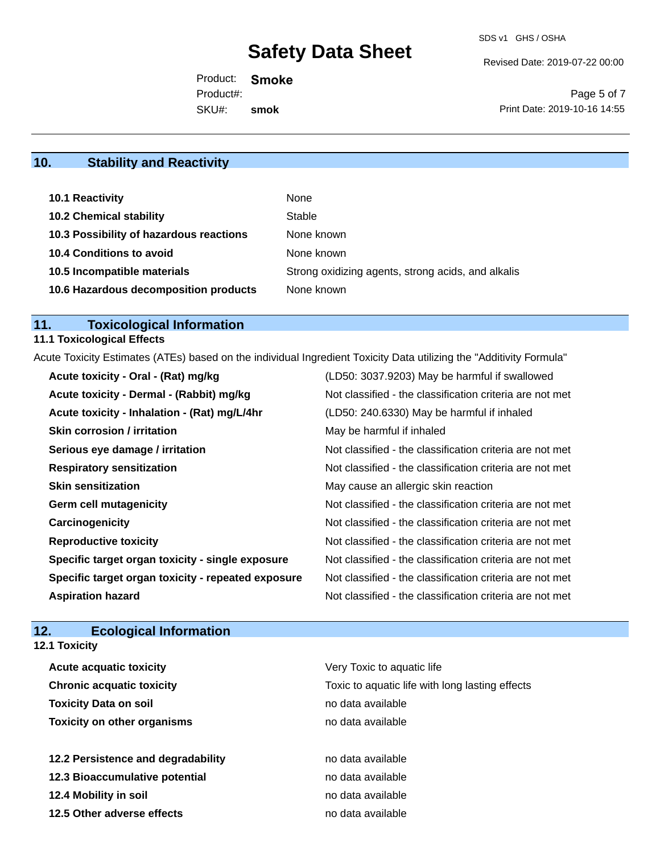Revised Date: 2019-07-22 00:00

Product: **Smoke** SKU#: Product#: **smok**

Page 5 of 7 Print Date: 2019-10-16 14:55

# **10. Stability and Reactivity**

| 10.1 Reactivity                         | None                                               |
|-----------------------------------------|----------------------------------------------------|
| <b>10.2 Chemical stability</b>          | Stable                                             |
| 10.3 Possibility of hazardous reactions | None known                                         |
| <b>10.4 Conditions to avoid</b>         | None known                                         |
| 10.5 Incompatible materials             | Strong oxidizing agents, strong acids, and alkalis |
| 10.6 Hazardous decomposition products   | None known                                         |

# **11. Toxicological Information**

# **11.1 Toxicological Effects**

Acute Toxicity Estimates (ATEs) based on the individual Ingredient Toxicity Data utilizing the "Additivity Formula"

| Acute toxicity - Oral - (Rat) mg/kg                | (LD50: 3037.9203) May be harmful if swallowed            |
|----------------------------------------------------|----------------------------------------------------------|
| Acute toxicity - Dermal - (Rabbit) mg/kg           | Not classified - the classification criteria are not met |
| Acute toxicity - Inhalation - (Rat) mg/L/4hr       | (LD50: 240.6330) May be harmful if inhaled               |
| <b>Skin corrosion / irritation</b>                 | May be harmful if inhaled                                |
| Serious eye damage / irritation                    | Not classified - the classification criteria are not met |
| <b>Respiratory sensitization</b>                   | Not classified - the classification criteria are not met |
| <b>Skin sensitization</b>                          | May cause an allergic skin reaction                      |
| <b>Germ cell mutagenicity</b>                      | Not classified - the classification criteria are not met |
| Carcinogenicity                                    | Not classified - the classification criteria are not met |
| <b>Reproductive toxicity</b>                       | Not classified - the classification criteria are not met |
| Specific target organ toxicity - single exposure   | Not classified - the classification criteria are not met |
| Specific target organ toxicity - repeated exposure | Not classified - the classification criteria are not met |
| <b>Aspiration hazard</b>                           | Not classified - the classification criteria are not met |

## **12. Ecological Information**

**12.1 Toxicity**

| <b>Acute acquatic toxicity</b>     | Very Toxic to aquatic life                      |
|------------------------------------|-------------------------------------------------|
| <b>Chronic acquatic toxicity</b>   | Toxic to aquatic life with long lasting effects |
| <b>Toxicity Data on soil</b>       | no data available                               |
| <b>Toxicity on other organisms</b> | no data available                               |
|                                    |                                                 |
| 12.2 Persistence and degradability | no data available                               |
| 12.3 Bioaccumulative potential     | no data available                               |
| 12.4 Mobility in soil              | no data available                               |
| 12.5 Other adverse effects         | no data available                               |
|                                    |                                                 |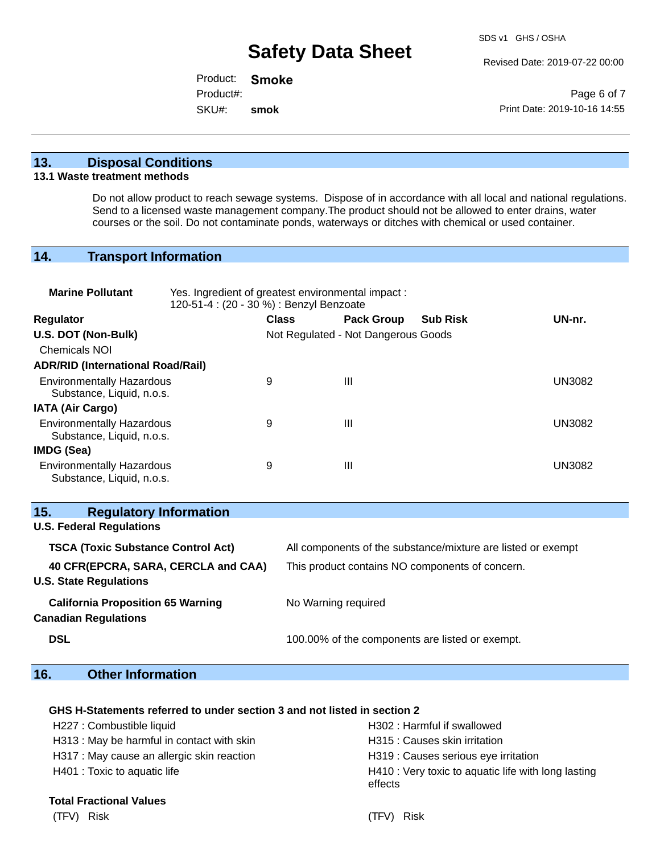Revised Date: 2019-07-22 00:00

Product: **Smoke** SKU#: Product#: **smok**

Page 6 of 7 Print Date: 2019-10-16 14:55

### **13. Disposal Conditions**

### **13.1 Waste treatment methods**

Do not allow product to reach sewage systems. Dispose of in accordance with all local and national regulations. Send to a licensed waste management company.The product should not be allowed to enter drains, water courses or the soil. Do not contaminate ponds, waterways or ditches with chemical or used container.

## **14. Transport Information**

| <b>Marine Pollutant</b>                                                 | Yes. Ingredient of greatest environmental impact:<br>120-51-4 : (20 - 30 %) : Benzyl Benzoate |                     |                                     |                                                              |               |
|-------------------------------------------------------------------------|-----------------------------------------------------------------------------------------------|---------------------|-------------------------------------|--------------------------------------------------------------|---------------|
| <b>Regulator</b>                                                        |                                                                                               | <b>Class</b>        | <b>Pack Group</b>                   | <b>Sub Risk</b>                                              | UN-nr.        |
| U.S. DOT (Non-Bulk)                                                     |                                                                                               |                     | Not Regulated - Not Dangerous Goods |                                                              |               |
| <b>Chemicals NOI</b>                                                    |                                                                                               |                     |                                     |                                                              |               |
| <b>ADR/RID (International Road/Rail)</b>                                |                                                                                               |                     |                                     |                                                              |               |
| <b>Environmentally Hazardous</b><br>Substance, Liquid, n.o.s.           | 9                                                                                             |                     | $\mathbf{III}$                      |                                                              | <b>UN3082</b> |
| <b>IATA (Air Cargo)</b>                                                 |                                                                                               |                     |                                     |                                                              |               |
| <b>Environmentally Hazardous</b><br>Substance, Liquid, n.o.s.           | 9                                                                                             |                     | $\mathbf{III}$                      |                                                              | <b>UN3082</b> |
| <b>IMDG (Sea)</b>                                                       |                                                                                               |                     |                                     |                                                              |               |
| <b>Environmentally Hazardous</b><br>Substance, Liquid, n.o.s.           | 9                                                                                             |                     | $\mathbf{III}$                      |                                                              | <b>UN3082</b> |
| <b>Regulatory Information</b><br>15.                                    |                                                                                               |                     |                                     |                                                              |               |
| <b>U.S. Federal Regulations</b>                                         |                                                                                               |                     |                                     |                                                              |               |
| <b>TSCA (Toxic Substance Control Act)</b>                               |                                                                                               |                     |                                     | All components of the substance/mixture are listed or exempt |               |
| 40 CFR(EPCRA, SARA, CERCLA and CAA)<br><b>U.S. State Regulations</b>    |                                                                                               |                     |                                     | This product contains NO components of concern.              |               |
| <b>California Proposition 65 Warning</b><br><b>Canadian Regulations</b> |                                                                                               | No Warning required |                                     |                                                              |               |
| <b>DSL</b>                                                              |                                                                                               |                     |                                     | 100.00% of the components are listed or exempt.              |               |

## **16. Other Information**

### **GHS H-Statements referred to under section 3 and not listed in section 2**

| H227 : Combustible liquid                  | H302: Harmful if swallowed                                     |
|--------------------------------------------|----------------------------------------------------------------|
| H313: May be harmful in contact with skin  | H315 : Causes skin irritation                                  |
| H317 : May cause an allergic skin reaction | H319 : Causes serious eye irritation                           |
| H401 : Toxic to aquatic life               | H410 : Very toxic to aquatic life with long lasting<br>effects |
| <b>Total Fractional Values</b>             |                                                                |

(TFV) Risk (TFV) Risk